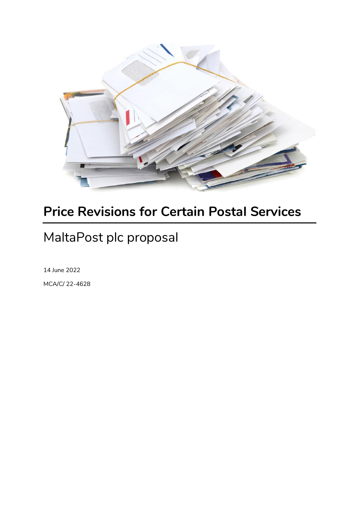

# **Price Revisions for Certain Postal Services**

# MaltaPost plc proposal

14 June 2022 MCA/C/ 22-4628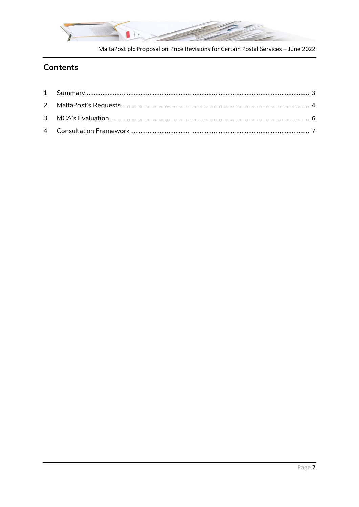

MaltaPost plc Proposal on Price Revisions for Certain Postal Services - June 2022

# **Contents**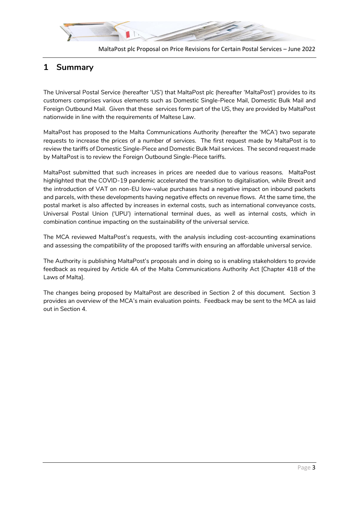

### <span id="page-2-0"></span>**1 Summary**

The Universal Postal Service (hereafter 'US') that MaltaPost plc (hereafter 'MaltaPost') provides to its customers comprises various elements such as Domestic Single-Piece Mail, Domestic Bulk Mail and Foreign Outbound Mail. Given that these services form part of the US, they are provided by MaltaPost nationwide in line with the requirements of Maltese Law.

MaltaPost has proposed to the Malta Communications Authority (hereafter the 'MCA') two separate requests to increase the prices of a number of services. The first request made by MaltaPost is to review the tariffs of Domestic Single-Piece and Domestic Bulk Mail services. The second request made by MaltaPost is to review the Foreign Outbound Single-Piece tariffs.

MaltaPost submitted that such increases in prices are needed due to various reasons. MaltaPost highlighted that the COVID-19 pandemic accelerated the transition to digitalisation, while Brexit and the introduction of VAT on non-EU low-value purchases had a negative impact on inbound packets and parcels, with these developments having negative effects on revenue flows. At the same time, the postal market is also affected by increases in external costs, such as international conveyance costs, Universal Postal Union ('UPU') international terminal dues, as well as internal costs, which in combination continue impacting on the sustainability of the universal service.

The MCA reviewed MaltaPost's requests, with the analysis including cost-accounting examinations and assessing the compatibility of the proposed tariffs with ensuring an affordable universal service.

The Authority is publishing MaltaPost's proposals and in doing so is enabling stakeholders to provide feedback as required by Article 4A of the Malta Communications Authority Act [Chapter 418 of the Laws of Malta].

The changes being proposed by MaltaPost are described in Section 2 of this document. Section 3 provides an overview of the MCA's main evaluation points. Feedback may be sent to the MCA as laid out in Section 4.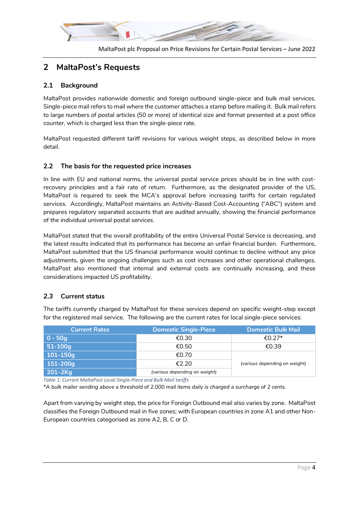

#### MaltaPost plc Proposal on Price Revisions for Certain Postal Services – June 2022

# <span id="page-3-0"></span>**2 MaltaPost's Requests**

### **2.1 Background**

MaltaPost provides nationwide domestic and foreign outbound single-piece and bulk mail services. Single-piece mail refers to mail where the customer attaches a stamp before mailing it. Bulk mail refers to large numbers of postal articles (50 or more) of identical size and format presented at a post office counter, which is charged less than the single-piece rate.

MaltaPost requested different tariff revisions for various weight steps, as described below in more detail.

#### **2.2 The basis for the requested price increases**

In line with EU and national norms, the universal postal service prices should be in line with costrecovery principles and a fair rate of return. Furthermore, as the designated provider of the US, MaltaPost is required to seek the MCA's approval before increasing tariffs for certain regulated services. Accordingly, MaltaPost maintains an Activity-Based Cost-Accounting ("ABC") system and prepares regulatory separated accounts that are audited annually, showing the financial performance of the individual universal postal services.

MaltaPost stated that the overall profitability of the entire Universal Postal Service is decreasing, and the latest results indicated that its performance has become an unfair financial burden. Furthermore, MaltaPost submitted that the US financial performance would continue to decline without any price adjustments, given the ongoing challenges such as cost increases and other operational challenges. MaltaPost also mentioned that internal and external costs are continually increasing, and these considerations impacted US profitability.

#### *2.3* **Current status**

The tariffs currently charged by MaltaPost for these services depend on specific weight-step except for the registered mail service. The following are the current rates for local single-piece services:

| <b>Current Rates</b> | <b>Domestic Single-Piece</b>  | <b>Domestic Bulk Mail</b>     |  |
|----------------------|-------------------------------|-------------------------------|--|
| 0 - 50a              | €0.30                         | €0.27 <sup>*</sup>            |  |
| $51-100g$            | €0.50                         | €0.39                         |  |
| $101 - 150q$         | €0.70                         |                               |  |
| 151-200g             | €2.20                         | (various depending on weight) |  |
| $201 - 2Kg$          | (various depending on weight) |                               |  |

*Table 1: Current MaltaPost Local Single-Piece and Bulk Mail tariffs*

*\*A bulk mailer sending above a threshold of 2,000 mail items daily is charged a surcharge of 2 cents.*

Apart from varying by weight step, the price for Foreign Outbound mail also varies by zone. MaltaPost classifies the Foreign Outbound mail in five zones; with European countries in zone A1 and other Non-European countries categorised as zone A2, B, C or D.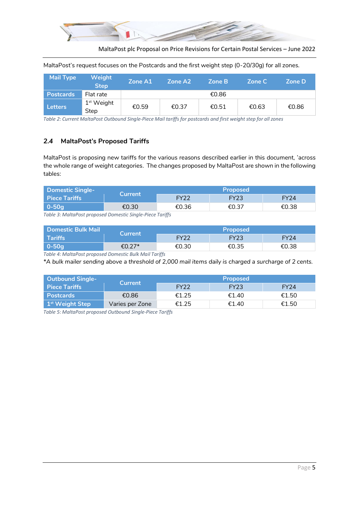

MaltaPost plc Proposal on Price Revisions for Certain Postal Services – June 2022

MaltaPost's request focuses on the Postcards and the first weight step (0-20/30g) for all zones.

| <b>Mail Type</b> | <b>Weight</b><br><b>Step</b> | Zone A1 | Zone A2 | Zone B | Zone C | <b>Zone D</b> |
|------------------|------------------------------|---------|---------|--------|--------|---------------|
| <b>Postcards</b> | Flat rate                    |         |         | €0.86  |        |               |
| <b>Letters</b>   | $1st$ Weight<br>Step         | €0.59   | €0.37   | €0.51  | €0.63  | €0.86         |

*Table 2: Current MaltaPost Outbound Single-Piece Mail tariffs for postcards and first weight step for all zones*

#### *2.4* **MaltaPost's Proposed Tariffs**

MaltaPost is proposing new tariffs for the various reasons described earlier in this document, 'across the whole range of weight categories. The changes proposed by MaltaPost are shown in the following tables:

| <b>Domestic Single-</b>                                                                                 | <b>Current</b> | <b>Proposed</b> |             |             |  |
|---------------------------------------------------------------------------------------------------------|----------------|-----------------|-------------|-------------|--|
| Piece Tariffs                                                                                           |                | FY22            | <b>FY23</b> | <b>FY24</b> |  |
| $0-50q$                                                                                                 | €0.30          | €0.36           | €0.37       | €0.38       |  |
| $\tau$ if a sail a set of the set of $\tau$ if $\tau$ if $\tau$ if $\tau$ if $\tau$ if $\tau$ if $\tau$ |                |                 |             |             |  |

*Table 3: MaltaPost proposed Domestic Single-Piece Tariffs*

| <b>Domestic Bulk Mail</b><br>Current |        | <b>Proposed</b> |       |                  |  |
|--------------------------------------|--------|-----------------|-------|------------------|--|
| <b>Tariffs</b>                       |        | <b>EY22</b>     | FY23  | FY <sub>24</sub> |  |
| $0-50q$                              | €0.27* | €0.30           | €0.35 | €0.38            |  |

*Table 4: MaltaPost proposed Domestic Bulk Mail Tariffs*

*\*A bulk mailer sending above a threshold of 2,000 mail items daily is charged a surcharge of 2 cents.*

| <b>Outbound Single-</b><br><b>Current</b> |                 | <b>Proposed</b>  |       |             |  |  |
|-------------------------------------------|-----------------|------------------|-------|-------------|--|--|
| <b>Piece Tariffs</b>                      |                 | FY <sub>22</sub> | FY23  | <b>FY24</b> |  |  |
| <b>Postcards</b>                          | €0.86           | €1.25            | €1.40 | €1.50       |  |  |
| 1 <sup>st</sup> Weight Step               | Varies per Zone | €1.25            | €1.40 | €1.50       |  |  |

*Table 5: MaltaPost proposed Outbound Single-Piece Tariffs*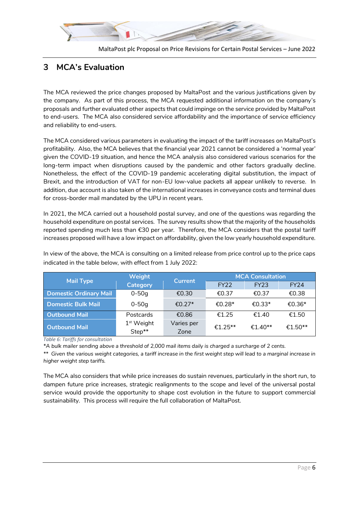

# <span id="page-5-0"></span>**3 MCA's Evaluation**

The MCA reviewed the price changes proposed by MaltaPost and the various justifications given by the company. As part of this process, the MCA requested additional information on the company's proposals and further evaluated other aspects that could impinge on the service provided by MaltaPost to end-users. The MCA also considered service affordability and the importance of service efficiency and reliability to end-users.

The MCA considered various parameters in evaluating the impact of the tariff increases on MaltaPost's profitability. Also, the MCA believes that the financial year 2021 cannot be considered a 'normal year' given the COVID-19 situation, and hence the MCA analysis also considered various scenarios for the long-term impact when disruptions caused by the pandemic and other factors gradually decline. Nonetheless, the effect of the COVID-19 pandemic accelerating digital substitution, the impact of Brexit, and the introduction of VAT for non-EU low-value packets all appear unlikely to reverse. In addition, due account is also taken of the international increases in conveyance costs and terminal dues for cross-border mail mandated by the UPU in recent years.

In 2021, the MCA carried out a household postal survey, and one of the questions was regarding the household expenditure on postal services. The survey results show that the majority of the households reported spending much less than €30 per year. Therefore, the MCA considers that the postal tariff increases proposed will have a low impact on affordability, given the low yearly household expenditure.

In view of the above, the MCA is consulting on a limited release from price control up to the price caps indicated in the table below, with effect from 1 July 2022:

| <b>Mail Type</b>              | Weight                 | <b>Current</b>     | <b>MCA Consultation</b> |             |                     |
|-------------------------------|------------------------|--------------------|-------------------------|-------------|---------------------|
|                               | <b>Category</b>        |                    | <b>FY22</b>             | <b>FY23</b> | <b>FY24</b>         |
| <b>Domestic Ordinary Mail</b> | $0 - 50q$              | €0.30              | €0.37                   | €0.37       | €0.38               |
| <b>Domestic Bulk Mail</b>     | $0 - 50q$              | €0.27 <sup>*</sup> | €0.28*                  | €0.33*      | €0.36*              |
| <b>Outbound Mail</b>          | Postcards              | €0.86              | €1.25                   | £1.40       | €1.50               |
| <b>Outbound Mail</b>          | $1st$ Weight<br>Step** | Varies per<br>Zone | €1.25**                 | $€1.40**$   | €1.50 <sup>**</sup> |

*Table 6: Tariffs for consultation*

*\*A bulk mailer sending above a threshold of 2,000 mail items daily is charged a surcharge of 2 cents.*

*\*\* Given the various weight categories, a tariff increase in the first weight step will lead to a marginal increase in higher weight step tariffs.*

The MCA also considers that while price increases do sustain revenues, particularly in the short run, to dampen future price increases, strategic realignments to the scope and level of the universal postal service would provide the opportunity to shape cost evolution in the future to support commercial sustainability. This process will require the full collaboration of MaltaPost.